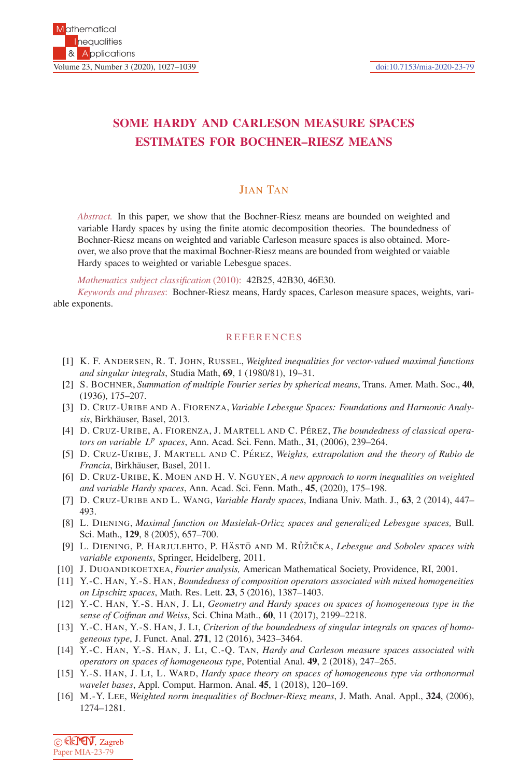## **SOME HARDY AND CARLESON MEASURE SPACES ESTIMATES FOR BOCHNER–RIESZ MEANS**

## JIAN TAN

*Abstract.* In this paper, we show that the Bochner-Riesz means are bounded on weighted and variable Hardy spaces by using the finite atomic decomposition theories. The boundedness of Bochner-Riesz means on weighted and variable Carleson measure spaces is also obtained. Moreover, we also prove that the maximal Bochner-Riesz means are bounded from weighted or vaiable Hardy spaces to weighted or variable Lebesgue spaces.

*Mathematics subject classification* (2010): 42B25, 42B30, 46E30.

*Keywords and phrases*: Bochner-Riesz means, Hardy spaces, Carleson measure spaces, weights, variable exponents.

## **REFERENCES**

- [1] K. F. ANDERSEN, R. T. JOHN, RUSSEL, *Weighted inequalities for vector-valued maximal functions and singular integrals*, Studia Math, **69**, 1 (1980/81), 19–31.
- [2] S. BOCHNER, *Summation of multiple Fourier series by spherical means*, Trans. Amer. Math. Soc., **40**, (1936), 175–207.
- [3] D. CRUZ-URIBE AND A. FIORENZA, *Variable Lebesgue Spaces: Foundations and Harmonic Analysis*, Birkh¨auser, Basel, 2013.
- [4] D. CRUZ-URIBE, A. FIORENZA, J. MARTELL AND C. PÉREZ, *The boundedness of classical operators on variable L<sup>p</sup> spaces*, Ann. Acad. Sci. Fenn. Math., **31**, (2006), 239–264.
- [5] D. CRUZ-URIBE, J. MARTELL AND C. PÉREZ, *Weights, extrapolation and the theory of Rubio de Francia*, Birkh¨auser, Basel, 2011.
- [6] D. CRUZ-URIBE, K. MOEN AND H. V. NGUYEN, *A new approach to norm inequalities on weighted and variable Hardy spaces*, Ann. Acad. Sci. Fenn. Math., **45**, (2020), 175–198.
- [7] D. CRUZ-URIBE AND L. WANG, *Variable Hardy spaces*, Indiana Univ. Math. J., **63**, 2 (2014), 447– 493.
- [8] L. DIENING, *Maximal function on Musielak-Orlicz spaces and generalized Lebesgue spaces,* Bull. Sci. Math., **129**, 8 (2005), 657–700.
- [9] L. DIENING, P. HARJULEHTO, P. HÄSTÖ AND M. RŮŽIČKA, *Lebesgue and Sobolev spaces with variable exponents*, Springer, Heidelberg, 2011.
- [10] J. DUOANDIKOETXEA, *Fourier analysis,* American Mathematical Society, Providence, RI, 2001.
- [11] Y.-C. HAN, Y.-S. HAN, *Boundedness of composition operators associated with mixed homogeneities on Lipschitz spaces*, Math. Res. Lett. **23**, 5 (2016), 1387–1403.
- [12] Y.-C. HAN, Y.-S. HAN, J. LI, *Geometry and Hardy spaces on spaces of homogeneous type in the sense of Coifman and Weiss*, Sci. China Math., **60**, 11 (2017), 2199–2218.
- [13] Y.-C. HAN, Y.-S. HAN, J. LI, *Criterion of the boundedness of singular integrals on spaces of homogeneous type*, J. Funct. Anal. **271**, 12 (2016), 3423–3464.
- [14] Y.-C. HAN, Y.-S. HAN, J. LI, C.-Q. TAN, *Hardy and Carleson measure spaces associated with operators on spaces of homogeneous type*, Potential Anal. **49**, 2 (2018), 247–265.
- [15] Y.-S. HAN, J. LI, L. WARD, *Hardy space theory on spaces of homogeneous type via orthonormal wavelet bases*, Appl. Comput. Harmon. Anal. **45**, 1 (2018), 120–169.
- [16] M.-Y. LEE, *Weighted norm inequalities of Bochner-Riesz means*, J. Math. Anal. Appl., **324**, (2006), 1274–1281.